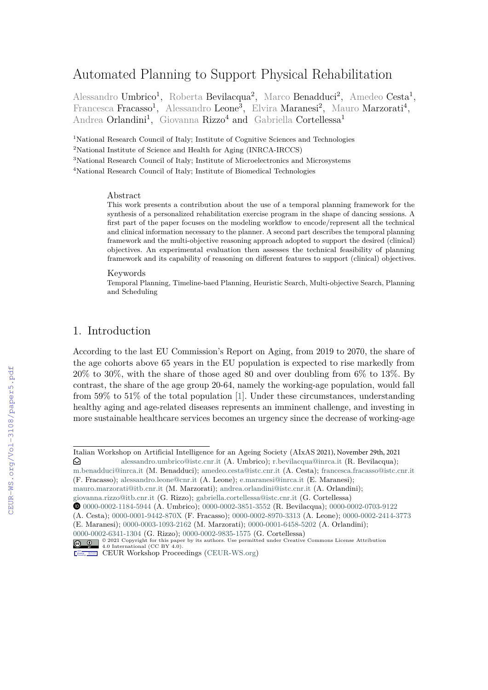# Automated Planning to Support Physical Rehabilitation

Alessandro Umbrico<sup>1</sup>, Roberta Bevilacqua<sup>2</sup>, Marco Benadduci<sup>2</sup>, Amedeo Cesta<sup>1</sup>, Francesca Fracasso<sup>1</sup>, Alessandro Leone<sup>3</sup>, Elvira Maranesi<sup>2</sup>, Mauro Marzorati<sup>4</sup>, Andrea Orlandini<sup>1</sup>, Giovanna Rizzo<sup>4</sup> and Gabriella Cortellessa<sup>1</sup>

<sup>1</sup>National Research Council of Italy; Institute of Cognitive Sciences and Technologies National Institute of Science and Health for Aging (INRCA-IRCCS) National Research Council of Italy; Institute of Microelectronics and Microsystems National Research Council of Italy; Institute of Biomedical Technologies

#### Abstract

This work presents a contribution about the use of a temporal planning framework for the synthesis of a personalized rehabilitation exercise program in the shape of dancing sessions. A first part of the paper focuses on the modeling workflow to encode/represent all the technical and clinical information necessary to the planner. A second part describes the temporal planning framework and the multi-objective reasoning approach adopted to support the desired (clinical) objectives. An experimental evaluation then assesses the technical feasibility of planning framework and its capability of reasoning on different features to support (clinical) objectives.

#### Keywords

Temporal Planning, Timeline-baed Planning, Heuristic Search, Multi-objective Search, Planning and Scheduling

# 1. Introduction

According to the last EU Commission's Report on Aging, from 2019 to 2070, the share of the age cohorts above 65 years in the EU population is expected to rise markedly from 20% to 30%, with the share of those aged 80 and over doubling from 6% to 13%. By contrast, the share of the age group 20-64, namely the working-age population, would fall from 59% to 51% of the total population [\[1\]](#page--1-0). Under these circumstances, understanding healthy aging and age-related diseases represents an imminent challenge, and investing in more sustainable healthcare services becomes an urgency since the decrease of working-age

Italian Workshop on Artificial Intelligence for an Ageing Society (AIxAS 2021), November 29th, 2021  $\odot$  [alessandro.umbrico](mailto:alessandro.umbrico@istc.cnr.it)@istc.cnr.it (A. [Umbrico\);](mailto:r.bevilacqua@inrca.it) r.bevilacqua@inrca.it (R. Bevilacqua);

[m.benadduci@inrca.it](mailto:m.benadduci@inrca.it) (M. Benadduci); [amedeo.cesta@istc.cnr.it](mailto:amedeo.cesta@istc.cnr.it) (A. Cesta); [francesca.fracasso@istc.cnr.it](mailto:francesca.fracasso@istc.cnr.it) (F. Fracasso); [alessandro.leone@cnr.it](mailto:alessandro.leone@cnr.it) (A. Leone); [e.maranesi@inrca.it](mailto:e.maranesi@inrca.it) (E. Maranesi);

[mauro.marzorati@itb.cnr.it](mailto:mauro.marzorati@itb.cnr.it) (M. Marzorati); [andrea.orlandini@istc.cnr.it](mailto:andrea.orlandini@istc.cnr.it) (A. Orlandini);

[giovanna.rizzo@itb.cnr.it](mailto:giovanna.rizzo@itb.cnr.it) (G. Rizzo); [gabriella.cortellessa@istc.cnr.it](mailto:gabriella.cortellessa@istc.cnr.it) (G. Cortellessa)

Orcid [0000-0002-1184-5944](https://orcid.org/0000-0002-1184-5944) (A. Umbrico); [0000-0002-3851-3552](https://orcid.org/0000-0002-3851-3552) (R. Bevilacqua); [0000-0002-0703-9122](https://orcid.org/0000-0002-0703-9122)

<sup>(</sup>A. Cesta); [0000-0001-9442-870X](https://orcid.org/0000-0001-9442-870X) (F. Fracasso); [0000-0002-8970-3313](https://orcid.org/0000-0002-8970-3313) (A. Leone); [0000-0002-2414-3773](https://orcid.org/0000-0002-2414-3773) (E. Maranesi); [0000-0003-1093-2162](https://orcid.org/0000-0003-1093-2162) (M. Marzorati); [0000-0001-6458-5202](https://orcid.org/0000-0001-6458-5202) (A. Orlandini);

[<sup>0000-0002-6341-1304</sup>](https://orcid.org/0000-0002-6341-1304) (G. Rizzo); [0000-0002-9835-1575](https://orcid.org/0000-0002-9835-1575) (G. Cortellessa)

<sup>© 2021</sup> Copyright for this paper by its authors. Use permitted under Creative Commons License Attribution 4.0 International (CC BY 4.0).

CEUR Workshop [Proceedings](http://ceur-ws.org) [\(CEUR-WS.org\)](http://ceur-ws.org)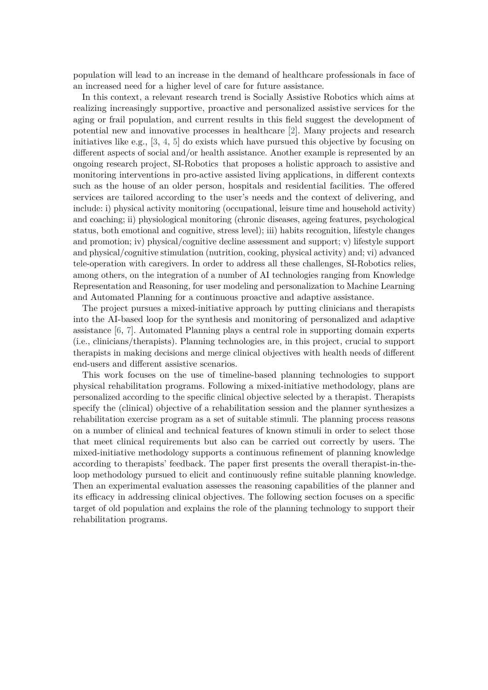population will lead to an increase in the demand of healthcare professionals in face of an increased need for a higher level of care for future assistance.

In this context, a relevant research trend is Socially Assistive Robotics which aims at realizing increasingly supportive, proactive and personalized assistive services for the aging or frail population, and current results in this field suggest the development of potential new and innovative processes in healthcare [\[2\]](#page-15-0). Many projects and research initiatives like e.g.,  $[3, 4, 5]$  $[3, 4, 5]$  $[3, 4, 5]$  $[3, 4, 5]$  do exists which have pursued this objective by focusing on different aspects of social and/or health assistance. Another example is represented by an ongoing research project, SI-Robotics that proposes a holistic approach to assistive and monitoring interventions in pro-active assisted living applications, in different contexts such as the house of an older person, hospitals and residential facilities. The offered services are tailored according to the user's needs and the context of delivering, and include: i) physical activity monitoring (occupational, leisure time and household activity) and coaching; ii) physiological monitoring (chronic diseases, ageing features, psychological status, both emotional and cognitive, stress level); iii) habits recognition, lifestyle changes and promotion; iv) physical/cognitive decline assessment and support; v) lifestyle support and physical/cognitive stimulation (nutrition, cooking, physical activity) and; vi) advanced tele-operation with caregivers. In order to address all these challenges, SI-Robotics relies, among others, on the integration of a number of AI technologies ranging from Knowledge Representation and Reasoning, for user modeling and personalization to Machine Learning and Automated Planning for a continuous proactive and adaptive assistance.

The project pursues a mixed-initiative approach by putting clinicians and therapists into the AI-based loop for the synthesis and monitoring of personalized and adaptive assistance [\[6,](#page-16-0) [7\]](#page-16-1). Automated Planning plays a central role in supporting domain experts (i.e., clinicians/therapists). Planning technologies are, in this project, crucial to support therapists in making decisions and merge clinical objectives with health needs of different end-users and different assistive scenarios.

This work focuses on the use of timeline-based planning technologies to support physical rehabilitation programs. Following a mixed-initiative methodology, plans are personalized according to the specific clinical objective selected by a therapist. Therapists specify the (clinical) objective of a rehabilitation session and the planner synthesizes a rehabilitation exercise program as a set of suitable stimuli. The planning process reasons on a number of clinical and technical features of known stimuli in order to select those that meet clinical requirements but also can be carried out correctly by users. The mixed-initiative methodology supports a continuous refinement of planning knowledge according to therapists' feedback. The paper first presents the overall therapist-in-theloop methodology pursued to elicit and continuously refine suitable planning knowledge. Then an experimental evaluation assesses the reasoning capabilities of the planner and its efficacy in addressing clinical objectives. The following section focuses on a specific target of old population and explains the role of the planning technology to support their rehabilitation programs.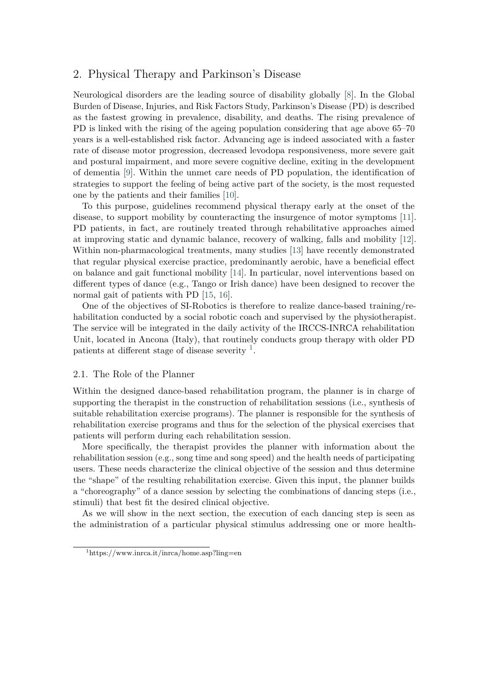# 2. Physical Therapy and Parkinson's Disease

Neurological disorders are the leading source of disability globally [\[8\]](#page-16-2). In the Global Burden of Disease, Injuries, and Risk Factors Study, Parkinson's Disease (PD) is described as the fastest growing in prevalence, disability, and deaths. The rising prevalence of PD is linked with the rising of the ageing population considering that age above 65–70 years is a well-established risk factor. Advancing age is indeed associated with a faster rate of disease motor progression, decreased levodopa responsiveness, more severe gait and postural impairment, and more severe cognitive decline, exiting in the development of dementia [\[9\]](#page-16-3). Within the unmet care needs of PD population, the identification of strategies to support the feeling of being active part of the society, is the most requested one by the patients and their families [\[10\]](#page-16-4).

To this purpose, guidelines recommend physical therapy early at the onset of the disease, to support mobility by counteracting the insurgence of motor symptoms [\[11\]](#page-16-5). PD patients, in fact, are routinely treated through rehabilitative approaches aimed at improving static and dynamic balance, recovery of walking, falls and mobility [\[12\]](#page-16-6). Within non-pharmacological treatments, many studies [\[13\]](#page-16-7) have recently demonstrated that regular physical exercise practice, predominantly aerobic, have a beneficial effect on balance and gait functional mobility [\[14\]](#page-16-8). In particular, novel interventions based on different types of dance (e.g., Tango or Irish dance) have been designed to recover the normal gait of patients with PD [\[15,](#page-16-9) [16\]](#page-16-10).

One of the objectives of SI-Robotics is therefore to realize dance-based training/rehabilitation conducted by a social robotic coach and supervised by the physiotherapist. The service will be integrated in the daily activity of the IRCCS-INRCA rehabilitation Unit, located in Ancona (Italy), that routinely conducts group therapy with older PD patients at different stage of disease severity  $1$ .

### 2.1. The Role of the Planner

Within the designed dance-based rehabilitation program, the planner is in charge of supporting the therapist in the construction of rehabilitation sessions (i.e., synthesis of suitable rehabilitation exercise programs). The planner is responsible for the synthesis of rehabilitation exercise programs and thus for the selection of the physical exercises that patients will perform during each rehabilitation session.

More specifically, the therapist provides the planner with information about the rehabilitation session (e.g., song time and song speed) and the health needs of participating users. These needs characterize the clinical objective of the session and thus determine the "shape" of the resulting rehabilitation exercise. Given this input, the planner builds a "choreography" of a dance session by selecting the combinations of dancing steps (i.e., stimuli) that best fit the desired clinical objective.

As we will show in the next section, the execution of each dancing step is seen as the administration of a particular physical stimulus addressing one or more health-

<span id="page-2-0"></span> $1$ https://www.inrca.it/inrca/home.asp?ling=en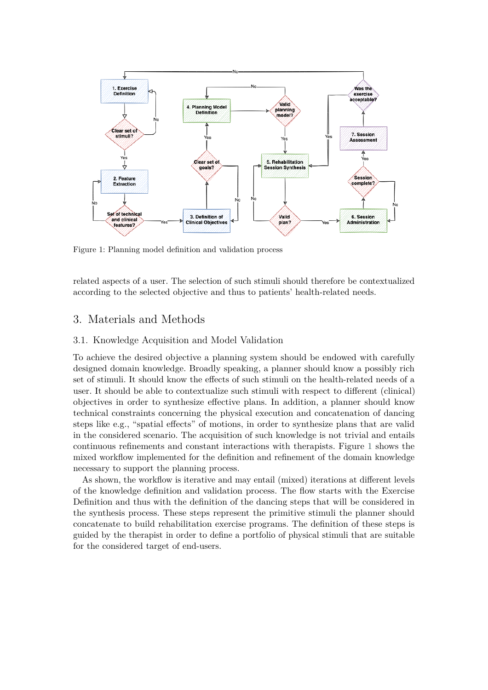<span id="page-3-0"></span>

Figure 1: Planning model definition and validation process

related aspects of a user. The selection of such stimuli should therefore be contextualized according to the selected objective and thus to patients' health-related needs.

# 3. Materials and Methods

### 3.1. Knowledge Acquisition and Model Validation

To achieve the desired objective a planning system should be endowed with carefully designed domain knowledge. Broadly speaking, a planner should know a possibly rich set of stimuli. It should know the effects of such stimuli on the health-related needs of a user. It should be able to contextualize such stimuli with respect to different (clinical) objectives in order to synthesize effective plans. In addition, a planner should know technical constraints concerning the physical execution and concatenation of dancing steps like e.g., "spatial effects" of motions, in order to synthesize plans that are valid in the considered scenario. The acquisition of such knowledge is not trivial and entails continuous refinements and constant interactions with therapists. Figure [1](#page-3-0) shows the mixed workflow implemented for the definition and refinement of the domain knowledge necessary to support the planning process.

As shown, the workflow is iterative and may entail (mixed) iterations at different levels of the knowledge definition and validation process. The flow starts with the Exercise Definition and thus with the definition of the dancing steps that will be considered in the synthesis process. These steps represent the primitive stimuli the planner should concatenate to build rehabilitation exercise programs. The definition of these steps is guided by the therapist in order to define a portfolio of physical stimuli that are suitable for the considered target of end-users.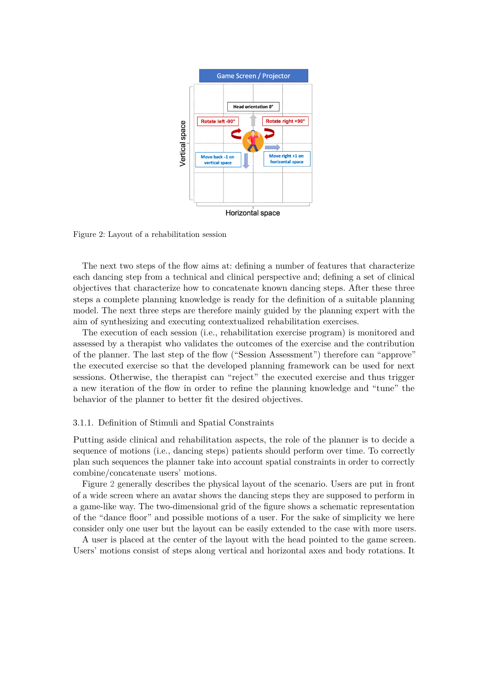<span id="page-4-0"></span>

Figure 2: Layout of a rehabilitation session

The next two steps of the flow aims at: defining a number of features that characterize each dancing step from a technical and clinical perspective and; defining a set of clinical objectives that characterize how to concatenate known dancing steps. After these three steps a complete planning knowledge is ready for the definition of a suitable planning model. The next three steps are therefore mainly guided by the planning expert with the aim of synthesizing and executing contextualized rehabilitation exercises.

The execution of each session (i.e., rehabilitation exercise program) is monitored and assessed by a therapist who validates the outcomes of the exercise and the contribution of the planner. The last step of the flow ("Session Assessment") therefore can "approve" the executed exercise so that the developed planning framework can be used for next sessions. Otherwise, the therapist can "reject" the executed exercise and thus trigger a new iteration of the flow in order to refine the planning knowledge and "tune" the behavior of the planner to better fit the desired objectives.

#### 3.1.1. Definition of Stimuli and Spatial Constraints

Putting aside clinical and rehabilitation aspects, the role of the planner is to decide a sequence of motions (i.e., dancing steps) patients should perform over time. To correctly plan such sequences the planner take into account spatial constraints in order to correctly combine/concatenate users' motions.

Figure [2](#page-4-0) generally describes the physical layout of the scenario. Users are put in front of a wide screen where an avatar shows the dancing steps they are supposed to perform in a game-like way. The two-dimensional grid of the figure shows a schematic representation of the "dance floor" and possible motions of a user. For the sake of simplicity we here consider only one user but the layout can be easily extended to the case with more users.

A user is placed at the center of the layout with the head pointed to the game screen. Users' motions consist of steps along vertical and horizontal axes and body rotations. It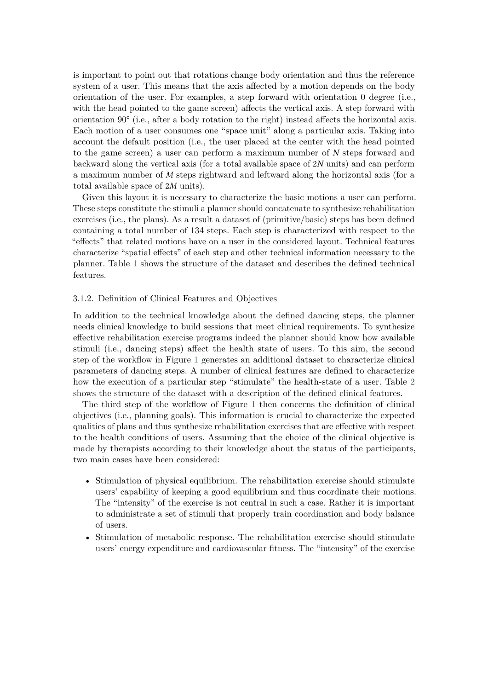is important to point out that rotations change body orientation and thus the reference system of a user. This means that the axis affected by a motion depends on the body orientation of the user. For examples, a step forward with orientation 0 degree (i.e., with the head pointed to the game screen) affects the vertical axis. A step forward with orientation 90° (i.e., after a body rotation to the right) instead affects the horizontal axis. Each motion of a user consumes one "space unit" along a particular axis. Taking into account the default position (i.e., the user placed at the center with the head pointed to the game screen) a user can perform a maximum number of  $N$  steps forward and backward along the vertical axis (for a total available space of  $2N$  units) and can perform a maximum number of  $M$  steps rightward and leftward along the horizontal axis (for a total available space of  $2M$  units).

Given this layout it is necessary to characterize the basic motions a user can perform. These steps constitute the stimuli a planner should concatenate to synthesize rehabilitation exercises (i.e., the plans). As a result a dataset of (primitive/basic) steps has been defined containing a total number of 134 steps. Each step is characterized with respect to the "effects" that related motions have on a user in the considered layout. Technical features characterize "spatial effects" of each step and other technical information necessary to the planner. Table [1](#page-6-0) shows the structure of the dataset and describes the defined technical features.

#### 3.1.2. Definition of Clinical Features and Objectives

In addition to the technical knowledge about the defined dancing steps, the planner needs clinical knowledge to build sessions that meet clinical requirements. To synthesize effective rehabilitation exercise programs indeed the planner should know how available stimuli (i.e., dancing steps) affect the health state of users. To this aim, the second step of the workflow in Figure [1](#page-3-0) generates an additional dataset to characterize clinical parameters of dancing steps. A number of clinical features are defined to characterize how the execution of a particular step "stimulate" the health-state of a user. Table [2](#page-7-0) shows the structure of the dataset with a description of the defined clinical features.

The third step of the workflow of Figure [1](#page-3-0) then concerns the definition of clinical objectives (i.e., planning goals). This information is crucial to characterize the expected qualities of plans and thus synthesize rehabilitation exercises that are effective with respect to the health conditions of users. Assuming that the choice of the clinical objective is made by therapists according to their knowledge about the status of the participants, two main cases have been considered:

- Stimulation of physical equilibrium. The rehabilitation exercise should stimulate users' capability of keeping a good equilibrium and thus coordinate their motions. The "intensity" of the exercise is not central in such a case. Rather it is important to administrate a set of stimuli that properly train coordination and body balance of users.
- Stimulation of metabolic response. The rehabilitation exercise should stimulate users' energy expenditure and cardiovascular fitness. The "intensity" of the exercise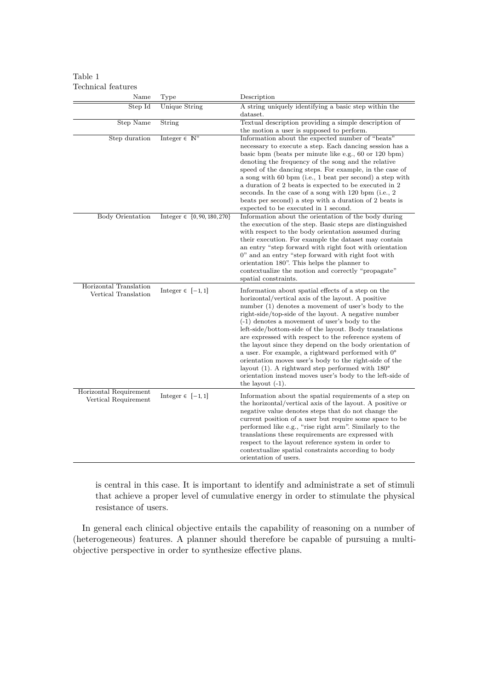### <span id="page-6-0"></span>Table 1 Technical features

| Name                                           | Type                              | Description                                                                                                                                                                                                                                                                                                                                                                                                                                                                                                                                                                                                                                                                                                                        |
|------------------------------------------------|-----------------------------------|------------------------------------------------------------------------------------------------------------------------------------------------------------------------------------------------------------------------------------------------------------------------------------------------------------------------------------------------------------------------------------------------------------------------------------------------------------------------------------------------------------------------------------------------------------------------------------------------------------------------------------------------------------------------------------------------------------------------------------|
| Step Id                                        | <b>Unique String</b>              | A string uniquely identifying a basic step within the                                                                                                                                                                                                                                                                                                                                                                                                                                                                                                                                                                                                                                                                              |
|                                                |                                   | dataset.                                                                                                                                                                                                                                                                                                                                                                                                                                                                                                                                                                                                                                                                                                                           |
| <b>Step Name</b>                               | String                            | Textual description providing a simple description of                                                                                                                                                                                                                                                                                                                                                                                                                                                                                                                                                                                                                                                                              |
|                                                |                                   | the motion a user is supposed to perform.                                                                                                                                                                                                                                                                                                                                                                                                                                                                                                                                                                                                                                                                                          |
| Step duration                                  | Integer $\in \mathbb{N}^+$        | Information about the expected number of "beats"<br>necessary to execute a step. Each dancing session has a<br>basic bpm (beats per minute like e.g., 60 or 120 bpm)<br>denoting the frequency of the song and the relative<br>speed of the dancing steps. For example, in the case of<br>a song with 60 bpm (i.e., 1 beat per second) a step with<br>a duration of 2 beats is expected to be executed in 2<br>seconds. In the case of a song with 120 bpm (i.e., 2)<br>beats per second) a step with a duration of 2 beats is<br>expected to be executed in 1 second.                                                                                                                                                             |
| Body Orientation                               | Integer $\in \{0, 90, 180, 270\}$ | Information about the orientation of the body during<br>the execution of the step. Basic steps are distinguished<br>with respect to the body orientation assumed during<br>their execution. For example the dataset may contain<br>an entry "step forward with right foot with orientation<br>0" and an entry "step forward with right foot with<br>orientation 180". This helps the planner to<br>contextualize the motion and correctly "propagate"<br>spatial constraints.                                                                                                                                                                                                                                                      |
| Horizontal Translation<br>Vertical Translation | Integer $\in [-1, 1]$             | Information about spatial effects of a step on the<br>horizontal/vertical axis of the layout. A positive<br>number (1) denotes a movement of user's body to the<br>right-side/top-side of the layout. A negative number<br>$(-1)$ denotes a movement of user's body to the<br>left-side/bottom-side of the layout. Body translations<br>are expressed with respect to the reference system of<br>the layout since they depend on the body orientation of<br>a user. For example, a rightward performed with $0^{\circ}$<br>orientation moves user's body to the right-side of the<br>layout (1). A rightward step performed with $180^{\circ}$<br>orientation instead moves user's body to the left-side of<br>the layout $(-1)$ . |
| Horizontal Requirement<br>Vertical Requirement | Integer $\in$ [-1, 1]             | Information about the spatial requirements of a step on<br>the horizontal/vertical axis of the layout. A positive or<br>negative value denotes steps that do not change the<br>current position of a user but require some space to be<br>performed like e.g., "rise right arm". Similarly to the<br>translations these requirements are expressed with<br>respect to the layout reference system in order to<br>contextualize spatial constraints according to body<br>orientation of users.                                                                                                                                                                                                                                      |

is central in this case. It is important to identify and administrate a set of stimuli that achieve a proper level of cumulative energy in order to stimulate the physical resistance of users.

In general each clinical objective entails the capability of reasoning on a number of (heterogeneous) features. A planner should therefore be capable of pursuing a multiobjective perspective in order to synthesize effective plans.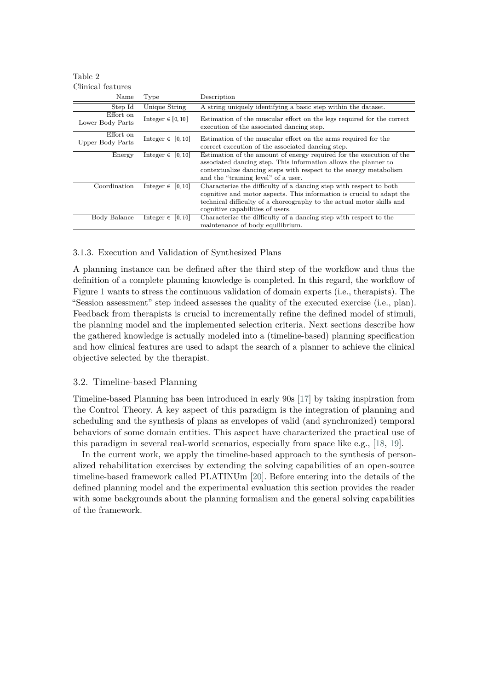<span id="page-7-0"></span>Table 2 Clinical features

| Name                          | Type                     | Description                                                                                                                                                                                                                                              |  |  |  |  |
|-------------------------------|--------------------------|----------------------------------------------------------------------------------------------------------------------------------------------------------------------------------------------------------------------------------------------------------|--|--|--|--|
| Step Id                       | Unique String            | A string uniquely identifying a basic step within the dataset.                                                                                                                                                                                           |  |  |  |  |
| Effort on<br>Lower Body Parts | Integer $\in [0, 10]$    | Estimation of the muscular effort on the legs required for the correct<br>execution of the associated dancing step.                                                                                                                                      |  |  |  |  |
| Effort on<br>Upper Body Parts | Integer $\in [0, 10]$    | Estimation of the muscular effort on the arms required for the<br>correct execution of the associated dancing step.                                                                                                                                      |  |  |  |  |
| Energy                        | Integer $\in [0, 10]$    | Estimation of the amount of energy required for the execution of the<br>associated dancing step. This information allows the planner to<br>contextualize dancing steps with respect to the energy metabolism<br>and the "training level" of a user.      |  |  |  |  |
| Coordination                  | Integer $\in$<br>[0, 10] | Characterize the difficulty of a dancing step with respect to both<br>cognitive and motor aspects. This information is crucial to adapt the<br>technical difficulty of a choreography to the actual motor skills and<br>cognitive capabilities of users. |  |  |  |  |
| Body Balance                  | [0, 10]<br>Integer $\in$ | Characterize the difficulty of a dancing step with respect to the<br>maintenance of body equilibrium.                                                                                                                                                    |  |  |  |  |

# 3.1.3. Execution and Validation of Synthesized Plans

A planning instance can be defined after the third step of the workflow and thus the definition of a complete planning knowledge is completed. In this regard, the workflow of Figure [1](#page-3-0) wants to stress the continuous validation of domain experts (i.e., therapists). The "Session assessment" step indeed assesses the quality of the executed exercise (i.e., plan). Feedback from therapists is crucial to incrementally refine the defined model of stimuli, the planning model and the implemented selection criteria. Next sections describe how the gathered knowledge is actually modeled into a (timeline-based) planning specification and how clinical features are used to adapt the search of a planner to achieve the clinical objective selected by the therapist.

# 3.2. Timeline-based Planning

Timeline-based Planning has been introduced in early 90s [\[17\]](#page-16-11) by taking inspiration from the Control Theory. A key aspect of this paradigm is the integration of planning and scheduling and the synthesis of plans as envelopes of valid (and synchronized) temporal behaviors of some domain entities. This aspect have characterized the practical use of this paradigm in several real-world scenarios, especially from space like e.g., [\[18,](#page-17-0) [19\]](#page-17-1).

In the current work, we apply the timeline-based approach to the synthesis of personalized rehabilitation exercises by extending the solving capabilities of an open-source timeline-based framework called PLATINUm [\[20\]](#page-17-2). Before entering into the details of the defined planning model and the experimental evaluation this section provides the reader with some backgrounds about the planning formalism and the general solving capabilities of the framework.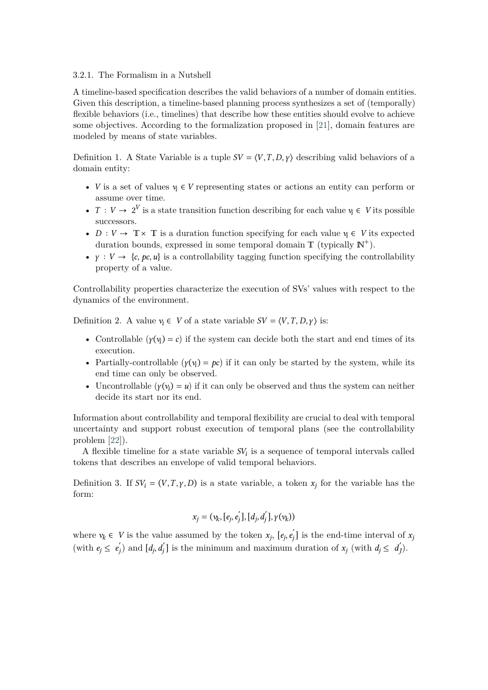### 3.2.1. The Formalism in a Nutshell

A timeline-based specification describes the valid behaviors of a number of domain entities. Given this description, a timeline-based planning process synthesizes a set of (temporally) flexible behaviors (i.e., timelines) that describe how these entities should evolve to achieve some objectives. According to the formalization proposed in [\[21\]](#page-17-3), domain features are modeled by means of state variables.

Definition 1. A State Variable is a tuple  $SV = \langle V, T, D, \gamma \rangle$  describing valid behaviors of a domain entity:

- *V* is a set of values  $v_i \in V$  representing states or actions an entity can perform or assume over time.
- $T: V \to 2^V$  is a state transition function describing for each value  $v_i \in V$  its possible successors.
- $D: V \to \mathbb{T} \times \mathbb{T}$  is a duration function specifying for each value  $v_i \in V$  its expected duration bounds, expressed in some temporal domain  $T$  (typically  $N^+$ ).
- $\gamma: V \to \{c, pc, u\}$  is a controllability tagging function specifying the controllability property of a value.

Controllability properties characterize the execution of SVs' values with respect to the dynamics of the environment.

Definition 2. A value  $v_i \in V$  of a state variable  $SV = \langle V, T, D, \gamma \rangle$  is:

- Controllable  $(\gamma(v_i) = c)$  if the system can decide both the start and end times of its execution.
- Partially-controllable  $(\gamma(v_i) = pc)$  if it can only be started by the system, while its end time can only be observed.
- Uncontrollable  $(\gamma(v_i) = u)$  if it can only be observed and thus the system can neither decide its start nor its end.

Information about controllability and temporal flexibility are crucial to deal with temporal uncertainty and support robust execution of temporal plans (see the controllability problem [\[22\]](#page-17-4)).

A flexible timeline for a state variable  $SV_i$  is a sequence of temporal intervals called tokens that describes an envelope of valid temporal behaviors.

Definition 3. If  $SV_i = (V, T, \gamma, D)$  is a state variable, a token  $x_j$  for the variable has the form:

$$
x_j = (v_k, [e_j, e'_j], [d_j, d'_j], \gamma(v_k))
$$

where  $v_k \in V$  is the value assumed by the token  $x_j$ ,  $[e_j, e'_j]$  $\mathbf{x}_j$  is the end-time interval of  $\mathbf{x}_j$ (with  $e_j \leq e_j'$ ) j) and  $[d_j, d'_j]$  is the minimum and maximum duration of  $x_j$  (with  $d_j \leq d'_j$ ).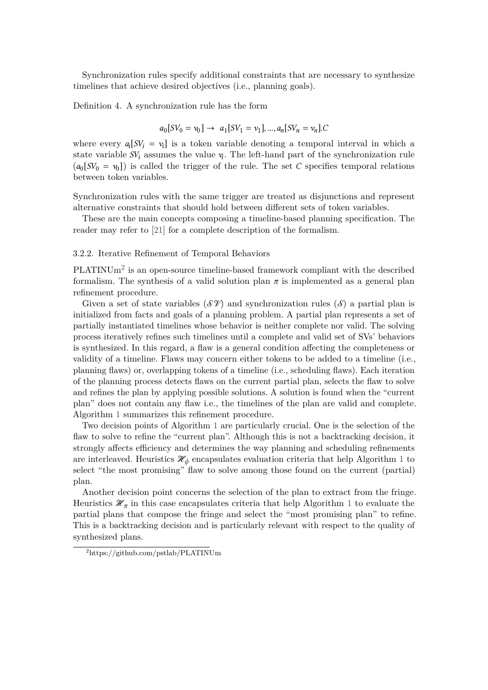Synchronization rules specify additional constraints that are necessary to synthesize timelines that achieve desired objectives (i.e., planning goals).

Definition 4. A synchronization rule has the form

$$
a_0[SV_0 = v_0] \rightarrow a_1[SV_1 = v_1], ..., a_n[SV_n = v_n].C
$$

where every  $a_i[SV_i = v_i]$  is a token variable denoting a temporal interval in which a state variable  $SV_i$  assumes the value  $v_i$ . The left-hand part of the synchronization rule  $(a_0[SV_0 = v_0])$  is called the trigger of the rule. The set C specifies temporal relations between token variables.

Synchronization rules with the same trigger are treated as disjunctions and represent alternative constraints that should hold between different sets of token variables.

These are the main concepts composing a timeline-based planning specification. The reader may refer to [\[21\]](#page-17-3) for a complete description of the formalism.

### 3.2.2. Iterative Refinement of Temporal Behaviors

 $PLATINUm<sup>2</sup>$  $PLATINUm<sup>2</sup>$  $PLATINUm<sup>2</sup>$  is an open-source timeline-based framework compliant with the described formalism. The synthesis of a valid solution plan  $\pi$  is implemented as a general plan refinement procedure.

Given a set of state variables ( $\mathcal{SV}$ ) and synchronization rules ( $\mathcal{S}$ ) a partial plan is initialized from facts and goals of a planning problem. A partial plan represents a set of partially instantiated timelines whose behavior is neither complete nor valid. The solving process iteratively refines such timelines until a complete and valid set of SVs' behaviors is synthesized. In this regard, a flaw is a general condition affecting the completeness or validity of a timeline. Flaws may concern either tokens to be added to a timeline (i.e., planning flaws) or, overlapping tokens of a timeline (i.e., scheduling flaws). Each iteration of the planning process detects flaws on the current partial plan, selects the flaw to solve and refines the plan by applying possible solutions. A solution is found when the "current plan" does not contain any flaw i.e., the timelines of the plan are valid and complete. Algorithm [1](#page-10-0) summarizes this refinement procedure.

Two decision points of Algorithm [1](#page-10-0) are particularly crucial. One is the selection of the flaw to solve to refine the "current plan". Although this is not a backtracking decision, it strongly affects efficiency and determines the way planning and scheduling refinements are interleaved. Heuristics  $\mathcal{H}_{\phi}$  encapsulates evaluation criteria that help Algorithm [1](#page-10-0) to select "the most promising" flaw to solve among those found on the current (partial) plan.

Another decision point concerns the selection of the plan to extract from the fringe. Heuristics  $\mathcal{H}_{\pi}$  in this case encapsulates criteria that help Algorithm [1](#page-10-0) to evaluate the partial plans that compose the fringe and select the "most promising plan" to refine. This is a backtracking decision and is particularly relevant with respect to the quality of synthesized plans.

<span id="page-9-0"></span><sup>2</sup>https://github.com/pstlab/PLATINUm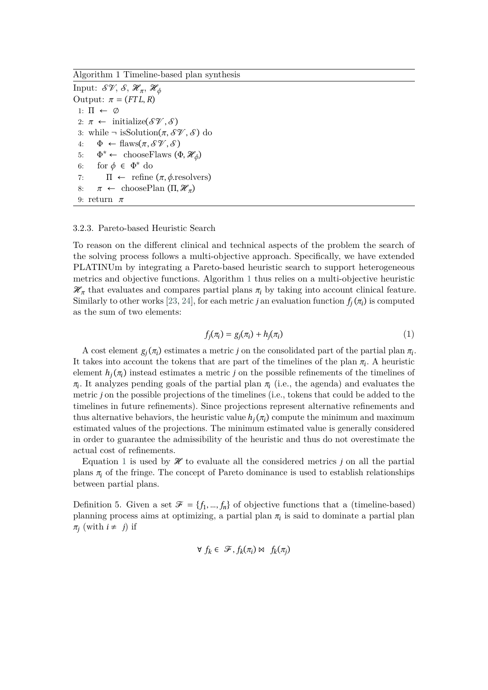<span id="page-10-0"></span>Algorithm 1 Timeline-based plan synthesis

Input:  $\mathcal{SY}, \, \mathcal{S}, \, \mathscr{H}_{\pi}, \, \mathscr{H}_{\phi}$ Output:  $\pi = (FTL, R)$ 1:  $\Pi \leftarrow \emptyset$ 2:  $\pi \leftarrow \text{initialize}(\mathcal{SV}, \mathcal{S})$ 3: while  $\neg$  is Solution $(\pi, \mathcal{SY}, \mathcal{S})$  do 4:  $\Phi \leftarrow \text{flaws}(\pi, \mathcal{SV}, \mathcal{S})$ 5: Φ \* ← chooseFlaws  $(\Phi, \mathcal{H}_{\phi})$ 6: for  $\phi \in \Phi^*$  do 7:  $\Pi \leftarrow$  refine  $(\pi, \phi$  resolvers) 8:  $\pi \leftarrow \text{choosePlan}(\Pi, \mathcal{H}_{\pi})$ 9: return  $\pi$ 

#### 3.2.3. Pareto-based Heuristic Search

To reason on the different clinical and technical aspects of the problem the search of the solving process follows a multi-objective approach. Specifically, we have extended PLATINUm by integrating a Pareto-based heuristic search to support heterogeneous metrics and objective functions. Algorithm [1](#page-10-0) thus relies on a multi-objective heuristic  $\mathcal{H}_{\pi}$  that evaluates and compares partial plans  $\pi_i$  by taking into account clinical feature. Similarly to other works [\[23,](#page-17-5) [24\]](#page-17-6), for each metric *j* an evaluation function  $f_j(\pi_i)$  is computed as the sum of two elements:

<span id="page-10-1"></span>
$$
f_j(\pi_i) = g_j(\pi_i) + h_j(\pi_i) \tag{1}
$$

A cost element  $g_j(\pi_i)$  estimates a metric j on the consolidated part of the partial plan  $\pi_i$ . It takes into account the tokens that are part of the timelines of the plan  $\pi_i$ . A heuristic element  $h_j(\pi_i)$  instead estimates a metric j on the possible refinements of the timelines of  $\pi_i$ . It analyzes pending goals of the partial plan  $\pi_i$  (i.e., the agenda) and evaluates the metric *j* on the possible projections of the timelines (i.e., tokens that could be added to the timelines in future refinements). Since projections represent alternative refinements and thus alternative behaviors, the heuristic value  $h_j(\pi_i)$  compute the minimum and maximum estimated values of the projections. The minimum estimated value is generally considered in order to guarantee the admissibility of the heuristic and thus do not overestimate the actual cost of refinements.

Equation [1](#page-10-1) is used by  $\mathcal X$  to evaluate all the considered metrics *j* on all the partial plans  $\pi_i$  of the fringe. The concept of Pareto dominance is used to establish relationships between partial plans.

Definition 5. Given a set  $\mathcal{F} = \{f_1, ..., f_n\}$  of objective functions that a (timeline-based) planning process aims at optimizing, a partial plan  $\pi$ <sub>i</sub> is said to dominate a partial plan  $\pi_j$  (with  $i \neq j$ ) if

$$
\forall f_k \in \mathcal{F}, f_k(\pi_i) \bowtie f_k(\pi_j)
$$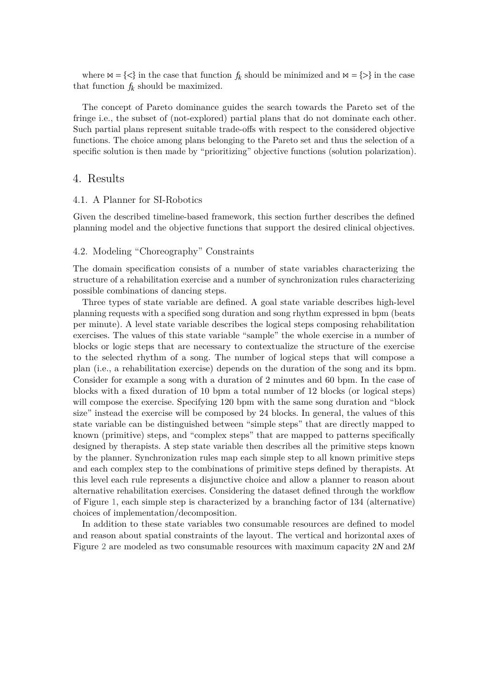where  $\mathbb{M} = \{ \langle \rangle \}$  in the case that function  $f_k$  should be minimized and  $\mathbb{M} = \{ \rangle \}$  in the case that function  $f_k$  should be maximized.

The concept of Pareto dominance guides the search towards the Pareto set of the fringe i.e., the subset of (not-explored) partial plans that do not dominate each other. Such partial plans represent suitable trade-offs with respect to the considered objective functions. The choice among plans belonging to the Pareto set and thus the selection of a specific solution is then made by "prioritizing" objective functions (solution polarization).

# 4. Results

### 4.1. A Planner for SI-Robotics

Given the described timeline-based framework, this section further describes the defined planning model and the objective functions that support the desired clinical objectives.

### 4.2. Modeling "Choreography" Constraints

The domain specification consists of a number of state variables characterizing the structure of a rehabilitation exercise and a number of synchronization rules characterizing possible combinations of dancing steps.

Three types of state variable are defined. A goal state variable describes high-level planning requests with a specified song duration and song rhythm expressed in bpm (beats per minute). A level state variable describes the logical steps composing rehabilitation exercises. The values of this state variable "sample" the whole exercise in a number of blocks or logic steps that are necessary to contextualize the structure of the exercise to the selected rhythm of a song. The number of logical steps that will compose a plan (i.e., a rehabilitation exercise) depends on the duration of the song and its bpm. Consider for example a song with a duration of 2 minutes and 60 bpm. In the case of blocks with a fixed duration of 10 bpm a total number of 12 blocks (or logical steps) will compose the exercise. Specifying 120 bpm with the same song duration and "block size" instead the exercise will be composed by 24 blocks. In general, the values of this state variable can be distinguished between "simple steps" that are directly mapped to known (primitive) steps, and "complex steps" that are mapped to patterns specifically designed by therapists. A step state variable then describes all the primitive steps known by the planner. Synchronization rules map each simple step to all known primitive steps and each complex step to the combinations of primitive steps defined by therapists. At this level each rule represents a disjunctive choice and allow a planner to reason about alternative rehabilitation exercises. Considering the dataset defined through the workflow of Figure [1,](#page-3-0) each simple step is characterized by a branching factor of 134 (alternative) choices of implementation/decomposition.

In addition to these state variables two consumable resources are defined to model and reason about spatial constraints of the layout. The vertical and horizontal axes of Figure [2](#page-4-0) are modeled as two consumable resources with maximum capacity  $2N$  and  $2M$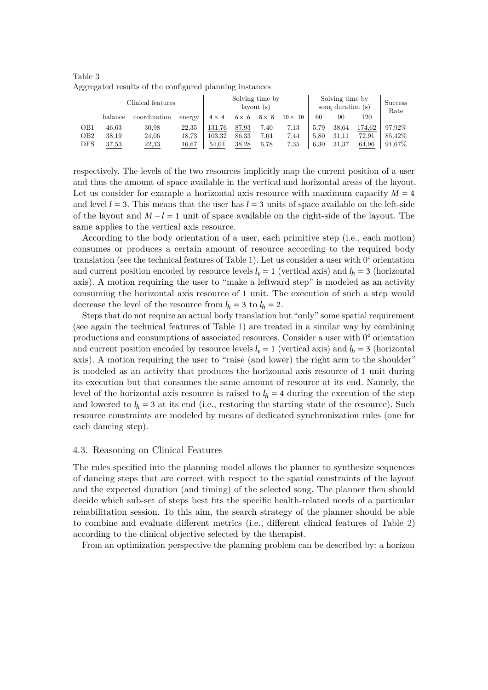| Clinical features |         |              | Solving time by<br>$l$ avout $(s)$ |              |              | Solving time by<br>song duration (s) |                |      | <b>Success</b><br>Rate |        |         |
|-------------------|---------|--------------|------------------------------------|--------------|--------------|--------------------------------------|----------------|------|------------------------|--------|---------|
|                   | balance | coordination | energy                             | $4 \times 4$ | $6 \times 6$ | $8 \times 8$                         | $10 \times 10$ | 60   | 90                     | 120    |         |
| OB1               | 46.63   | 30.98        | 22,35                              | 131.76       | 87,93        | 7.40                                 | 7.13           | 5.79 | 38,64                  | 174.62 | 97.92\% |
| OB2               | 38.19   | 24,06        | 18.73                              | 103.32       | 86,33        | 7.04                                 | 7.44           | 5.80 | 31.11                  | 72.91  | 85,42\% |
| $_{\rm DFS}$      | 37,53   | 22,33        | 16,67                              | 54,04        | 38,28        | 6.78                                 | 7.35           | 6.30 | 31,37                  | 64,96  | 91,67%  |

<span id="page-12-0"></span>Table 3 Aggregated results of the configured planning instances

respectively. The levels of the two resources implicitly map the current position of a user and thus the amount of space available in the vertical and horizontal areas of the layout. Let us consider for example a horizontal axis resource with maximum capacity  $M = 4$ and level  $l = 3$ . This means that the user has  $l = 3$  units of space available on the left-side of the layout and  $M - l = 1$  unit of space available on the right-side of the layout. The same applies to the vertical axis resource.

According to the body orientation of a user, each primitive step (i.e., each motion) consumes or produces a certain amount of resource according to the required body translation (see the technical features of Table [1\)](#page-6-0). Let us consider a user with 0° orientation and current position encoded by resource levels  $l_v = 1$  (vertical axis) and  $l_h = 3$  (horizontal axis). A motion requiring the user to "make a leftward step" is modeled as an activity consuming the horizontal axis resource of 1 unit. The execution of such a step would decrease the level of the resource from  $l_h = 3$  to  $l_h = 2$ .

Steps that do not require an actual body translation but "only" some spatial requirement (see again the technical features of Table [1\)](#page-6-0) are treated in a similar way by combining productions and consumptions of associated resources. Consider a user with 0° orientation and current position encoded by resource levels  $l_v = 1$  (vertical axis) and  $l_h = 3$  (horizontal axis). A motion requiring the user to "raise (and lower) the right arm to the shoulder" is modeled as an activity that produces the horizontal axis resource of 1 unit during its execution but that consumes the same amount of resource at its end. Namely, the level of the horizontal axis resource is raised to  $l_h = 4$  during the execution of the step and lowered to  $l_h = 3$  at its end (i.e., restoring the starting state of the resource). Such resource constraints are modeled by means of dedicated synchronization rules (one for each dancing step).

#### 4.3. Reasoning on Clinical Features

The rules specified into the planning model allows the planner to synthesize sequences of dancing steps that are correct with respect to the spatial constraints of the layout and the expected duration (and timing) of the selected song. The planner then should decide which sub-set of steps best fits the specific health-related needs of a particular rehabilitation session. To this aim, the search strategy of the planner should be able to combine and evaluate different metrics (i.e., different clinical features of Table [2\)](#page-7-0) according to the clinical objective selected by the therapist.

From an optimization perspective the planning problem can be described by: a horizon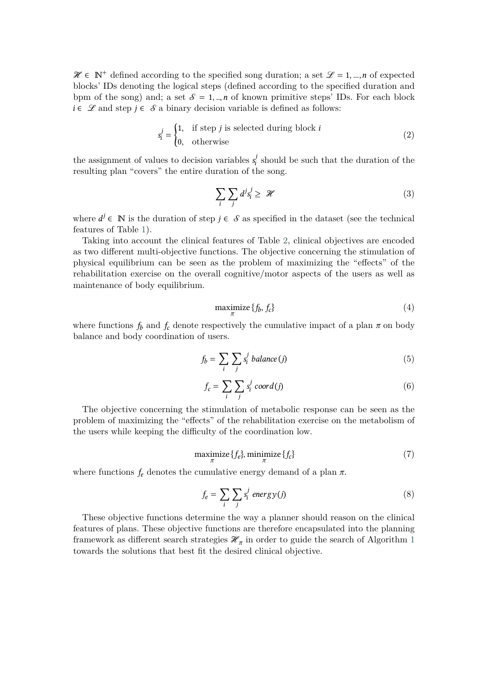$\mathcal{H} \in \mathbb{N}^+$  defined according to the specified song duration; a set  $\mathcal{L} = 1, ..., n$  of expected blocks' IDs denoting the logical steps (defined according to the specified duration and bpm of the song) and; a set  $\mathcal{S} = 1, ..., n$  of known primitive steps' IDs. For each block  $i \in \mathcal{L}$  and step  $j \in \mathcal{S}$  a binary decision variable is defined as follows:

$$
s_i^j = \begin{cases} 1, & \text{if step } j \text{ is selected during block } i \\ 0, & \text{otherwise} \end{cases} \tag{2}
$$

the assignment of values to decision variables  $s_i^j$  $s_i$  should be such that the duration of the resulting plan "covers" the entire duration of the song.

$$
\sum_{i} \sum_{j} d^{j} s_{i}^{j} \geq \mathcal{H} \tag{3}
$$

where  $d^j \in \mathbb{N}$  is the duration of step  $j \in \mathcal{S}$  as specified in the dataset (see the technical features of Table [1\)](#page-6-0).

Taking into account the clinical features of Table [2,](#page-7-0) clinical objectives are encoded as two different multi-objective functions. The objective concerning the stimulation of physical equilibrium can be seen as the problem of maximizing the "effects" of the rehabilitation exercise on the overall cognitive/motor aspects of the users as well as maintenance of body equilibrium.

<span id="page-13-0"></span>
$$
\begin{array}{c}\n\text{maximize } \{f_b, f_c\} \\
\text{(4)}\n\end{array}
$$

where functions  $f_b$  and  $f_c$  denote respectively the cumulative impact of a plan  $\pi$  on body balance and body coordination of users.

$$
f_b = \sum_i \sum_j s_i^j \; balance(j) \tag{5}
$$

$$
f_c = \sum_i \sum_j s_i^j \text{ coord}(j) \tag{6}
$$

The objective concerning the stimulation of metabolic response can be seen as the problem of maximizing the "effects" of the rehabilitation exercise on the metabolism of the users while keeping the difficulty of the coordination low.

<span id="page-13-1"></span>
$$
\begin{array}{c}\n\text{maximize } \{f_e\}, \text{minimize } \{f_c\} \\
\pi\n\end{array} \tag{7}
$$

where functions  $f_e$  denotes the cumulative energy demand of a plan  $\pi$ .

$$
f_e = \sum_i \sum_j s_i^j \text{ energy}(j) \tag{8}
$$

These objective functions determine the way a planner should reason on the clinical features of plans. These objective functions are therefore encapsulated into the planning framework as different search strategies  $\mathcal{H}_{\pi}$  in order to guide the search of Algorithm [1](#page-10-0) towards the solutions that best fit the desired clinical objective.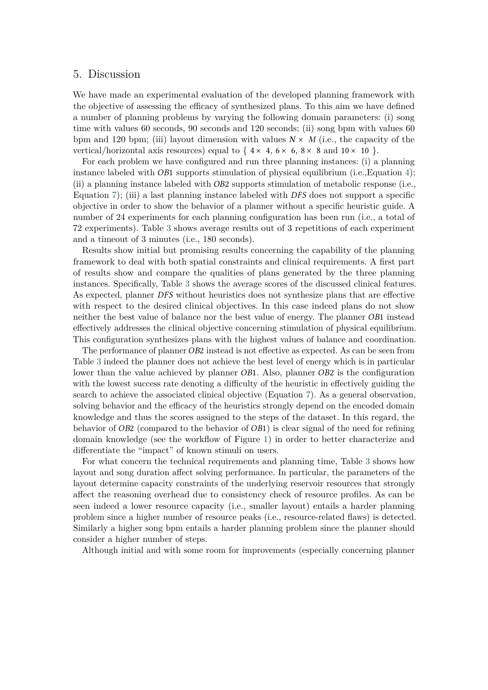# 5. Discussion

We have made an experimental evaluation of the developed planning framework with the objective of assessing the efficacy of synthesized plans. To this aim we have defined a number of planning problems by varying the following domain parameters: (i) song time with values 60 seconds, 90 seconds and 120 seconds; (ii) song bpm with values 60 bpm and 120 bpm; (iii) layout dimension with values  $N \times M$  (i.e., the capacity of the vertical/horizontal axis resources) equal to  $\{4 \times 4, 6 \times 6, 8 \times 8 \text{ and } 10 \times 10 \}$ .

For each problem we have configured and run three planning instances: (i) a planning instance labeled with  $OB1$  supports stimulation of physical equilibrium (i.e., Equation [4\)](#page-13-0); (ii) a planning instance labeled with  $\overline{OB2}$  supports stimulation of metabolic response (i.e., Equation [7\)](#page-13-1); (iii) a last planning instance labeled with  $DFS$  does not support a specific objective in order to show the behavior of a planner without a specific heuristic guide. A number of 24 experiments for each planning configuration has been run (i.e., a total of 72 experiments). Table [3](#page-12-0) shows average results out of 3 repetitions of each experiment and a timeout of 3 minutes (i.e., 180 seconds).

Results show initial but promising results concerning the capability of the planning framework to deal with both spatial constraints and clinical requirements. A first part of results show and compare the qualities of plans generated by the three planning instances. Specifically, Table [3](#page-12-0) shows the average scores of the discussed clinical features. As expected, planner DFS without heuristics does not synthesize plans that are effective with respect to the desired clinical objectives. In this case indeed plans do not show neither the best value of balance nor the best value of energy. The planner  $OB1$  instead effectively addresses the clinical objective concerning stimulation of physical equilibrium. This configuration synthesizes plans with the highest values of balance and coordination.

The performance of planner OB2 instead is not effective as expected. As can be seen from Table [3](#page-12-0) indeed the planner does not achieve the best level of energy which is in particular lower than the value achieved by planner  $OB1$ . Also, planner  $OB2$  is the configuration with the lowest success rate denoting a difficulty of the heuristic in effectively guiding the search to achieve the associated clinical objective (Equation [7\)](#page-13-1). As a general observation, solving behavior and the efficacy of the heuristics strongly depend on the encoded domain knowledge and thus the scores assigned to the steps of the dataset. In this regard, the behavior of  $OB2$  (compared to the behavior of  $OB1$ ) is clear signal of the need for refining domain knowledge (see the workflow of Figure [1\)](#page-3-0) in order to better characterize and differentiate the "impact" of known stimuli on users.

For what concern the technical requirements and planning time, Table [3](#page-12-0) shows how layout and song duration affect solving performance. In particular, the parameters of the layout determine capacity constraints of the underlying reservoir resources that strongly affect the reasoning overhead due to consistency check of resource profiles. As can be seen indeed a lower resource capacity (i.e., smaller layout) entails a harder planning problem since a higher number of resource peaks (i.e., resource-related flaws) is detected. Similarly a higher song bpm entails a harder planning problem since the planner should consider a higher number of steps.

Although initial and with some room for improvements (especially concerning planner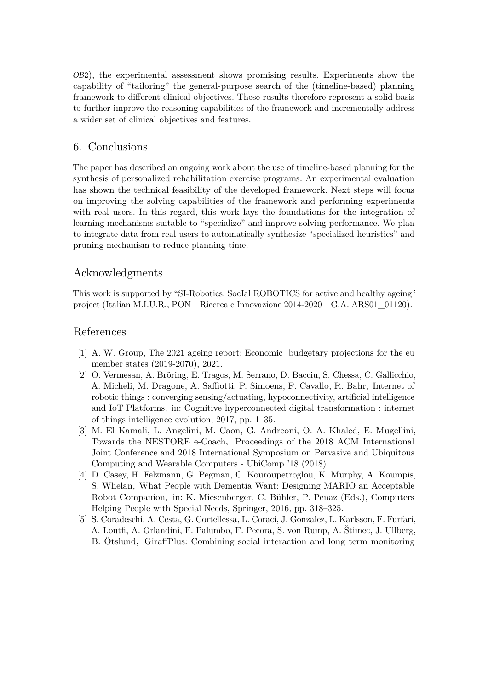2), the experimental assessment shows promising results. Experiments show the capability of "tailoring" the general-purpose search of the (timeline-based) planning framework to different clinical objectives. These results therefore represent a solid basis to further improve the reasoning capabilities of the framework and incrementally address a wider set of clinical objectives and features.

# 6. Conclusions

The paper has described an ongoing work about the use of timeline-based planning for the synthesis of personalized rehabilitation exercise programs. An experimental evaluation has shown the technical feasibility of the developed framework. Next steps will focus on improving the solving capabilities of the framework and performing experiments with real users. In this regard, this work lays the foundations for the integration of learning mechanisms suitable to "specialize" and improve solving performance. We plan to integrate data from real users to automatically synthesize "specialized heuristics" and pruning mechanism to reduce planning time.

# Acknowledgments

This work is supported by "SI-Robotics: SocIal ROBOTICS for active and healthy ageing" project (Italian M.I.U.R., PON – Ricerca e Innovazione 2014-2020 – G.A. ARS01\_01120).

# References

- [1] A. W. Group, The 2021 ageing report: Economic budgetary projections for the eu member states (2019-2070), 2021.
- <span id="page-15-0"></span>[2] O. Vermesan, A. Bröring, E. Tragos, M. Serrano, D. Bacciu, S. Chessa, C. Gallicchio, A. Micheli, M. Dragone, A. Saffiotti, P. Simoens, F. Cavallo, R. Bahr, Internet of robotic things : converging sensing/actuating, hypoconnectivity, artificial intelligence and IoT Platforms, in: Cognitive hyperconnected digital transformation : internet of things intelligence evolution, 2017, pp. 1–35.
- <span id="page-15-1"></span>[3] M. El Kamali, L. Angelini, M. Caon, G. Andreoni, O. A. Khaled, E. Mugellini, Towards the NESTORE e-Coach, Proceedings of the 2018 ACM International Joint Conference and 2018 International Symposium on Pervasive and Ubiquitous Computing and Wearable Computers - UbiComp '18 (2018).
- <span id="page-15-2"></span>[4] D. Casey, H. Felzmann, G. Pegman, C. Kouroupetroglou, K. Murphy, A. Koumpis, S. Whelan, What People with Dementia Want: Designing MARIO an Acceptable Robot Companion, in: K. Miesenberger, C. Bühler, P. Penaz (Eds.), Computers Helping People with Special Needs, Springer, 2016, pp. 318–325.
- <span id="page-15-3"></span>[5] S. Coradeschi, A. Cesta, G. Cortellessa, L. Coraci, J. Gonzalez, L. Karlsson, F. Furfari, A. Loutfi, A. Orlandini, F. Palumbo, F. Pecora, S. von Rump, A. Štimec, J. Ullberg, B. Ötslund, GiraffPlus: Combining social interaction and long term monitoring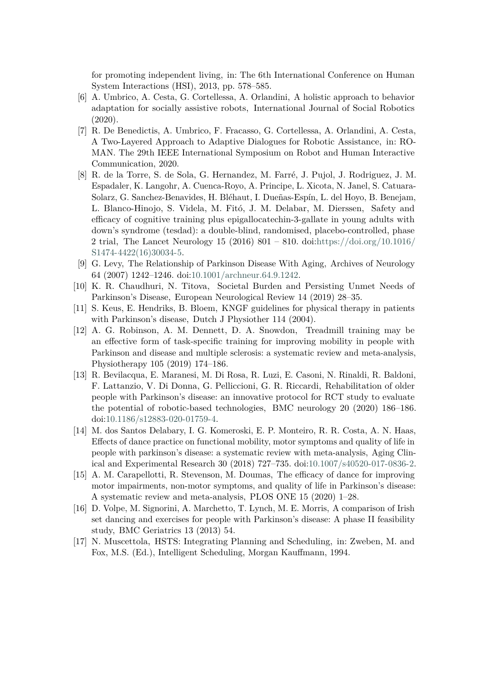for promoting independent living, in: The 6th International Conference on Human System Interactions (HSI), 2013, pp. 578–585.

- <span id="page-16-0"></span>[6] A. Umbrico, A. Cesta, G. Cortellessa, A. Orlandini, A holistic approach to behavior adaptation for socially assistive robots, International Journal of Social Robotics (2020).
- <span id="page-16-1"></span>[7] R. De Benedictis, A. Umbrico, F. Fracasso, G. Cortellessa, A. Orlandini, A. Cesta, A Two-Layered Approach to Adaptive Dialogues for Robotic Assistance, in: RO-MAN. The 29th IEEE International Symposium on Robot and Human Interactive Communication, 2020.
- <span id="page-16-2"></span>[8] R. de la Torre, S. de Sola, G. Hernandez, M. Farré, J. Pujol, J. Rodriguez, J. M. Espadaler, K. Langohr, A. Cuenca-Royo, A. Principe, L. Xicota, N. Janel, S. Catuara-Solarz, G. Sanchez-Benavides, H. Bléhaut, I. Dueñas-Espín, L. del Hoyo, B. Benejam, L. Blanco-Hinojo, S. Videla, M. Fitó, J. M. Delabar, M. Dierssen, Safety and efficacy of cognitive training plus epigallocatechin-3-gallate in young adults with down's syndrome (tesdad): a double-blind, randomised, placebo-controlled, phase 2 trial, The Lancet Neurology 15 (2016) 801 – 810. doi[:https://doi.org/10.1016/](http://dx.doi.org/https://doi.org/10.1016/S1474-4422(16)30034-5) [S1474-4422\(16\)30034-5.](http://dx.doi.org/https://doi.org/10.1016/S1474-4422(16)30034-5)
- <span id="page-16-3"></span>[9] G. Levy, The Relationship of Parkinson Disease With Aging, Archives of Neurology 64 (2007) 1242–1246. doi[:10.1001/archneur.64.9.1242.](http://dx.doi.org/10.1001/archneur.64.9.1242)
- <span id="page-16-4"></span>[10] K. R. Chaudhuri, N. Titova, Societal Burden and Persisting Unmet Needs of Parkinson's Disease, European Neurological Review 14 (2019) 28–35.
- <span id="page-16-5"></span>[11] S. Keus, E. Hendriks, B. Bloem, KNGF guidelines for physical therapy in patients with Parkinson's disease, Dutch J Physiother 114 (2004).
- <span id="page-16-6"></span>[12] A. G. Robinson, A. M. Dennett, D. A. Snowdon, Treadmill training may be an effective form of task-specific training for improving mobility in people with Parkinson and disease and multiple sclerosis: a systematic review and meta-analysis, Physiotherapy 105 (2019) 174–186.
- <span id="page-16-7"></span>[13] R. Bevilacqua, E. Maranesi, M. Di Rosa, R. Luzi, E. Casoni, N. Rinaldi, R. Baldoni, F. Lattanzio, V. Di Donna, G. Pelliccioni, G. R. Riccardi, Rehabilitation of older people with Parkinson's disease: an innovative protocol for RCT study to evaluate the potential of robotic-based technologies, BMC neurology 20 (2020) 186–186. doi[:10.1186/s12883-020-01759-4.](http://dx.doi.org/10.1186/s12883-020-01759-4)
- <span id="page-16-8"></span>[14] M. dos Santos Delabary, I. G. Komeroski, E. P. Monteiro, R. R. Costa, A. N. Haas, Effects of dance practice on functional mobility, motor symptoms and quality of life in people with parkinson's disease: a systematic review with meta-analysis, Aging Clinical and Experimental Research 30 (2018) 727–735. doi[:10.1007/s40520-017-0836-2.](http://dx.doi.org/10.1007/s40520-017-0836-2)
- <span id="page-16-9"></span>[15] A. M. Carapellotti, R. Stevenson, M. Doumas, The efficacy of dance for improving motor impairments, non-motor symptoms, and quality of life in Parkinson's disease: A systematic review and meta-analysis, PLOS ONE 15 (2020) 1–28.
- <span id="page-16-10"></span>[16] D. Volpe, M. Signorini, A. Marchetto, T. Lynch, M. E. Morris, A comparison of Irish set dancing and exercises for people with Parkinson's disease: A phase II feasibility study, BMC Geriatrics 13 (2013) 54.
- <span id="page-16-11"></span>[17] N. Muscettola, HSTS: Integrating Planning and Scheduling, in: Zweben, M. and Fox, M.S. (Ed.), Intelligent Scheduling, Morgan Kauffmann, 1994.